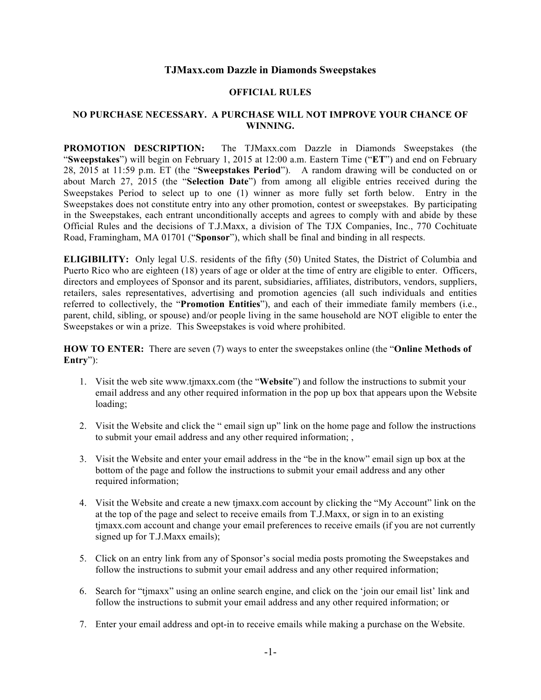## **TJMaxx.com Dazzle in Diamonds Sweepstakes**

## **OFFICIAL RULES**

## **NO PURCHASE NECESSARY. A PURCHASE WILL NOT IMPROVE YOUR CHANCE OF WINNING.**

**PROMOTION DESCRIPTION:** The TJMaxx.com Dazzle in Diamonds Sweepstakes (the "**Sweepstakes**") will begin on February 1, 2015 at 12:00 a.m. Eastern Time ("**ET**") and end on February 28, 2015 at 11:59 p.m. ET (the "**Sweepstakes Period**"). A random drawing will be conducted on or about March 27, 2015 (the "**Selection Date**") from among all eligible entries received during the Sweepstakes Period to select up to one (1) winner as more fully set forth below. Entry in the Sweepstakes does not constitute entry into any other promotion, contest or sweepstakes. By participating in the Sweepstakes, each entrant unconditionally accepts and agrees to comply with and abide by these Official Rules and the decisions of T.J.Maxx, a division of The TJX Companies, Inc., 770 Cochituate Road, Framingham, MA 01701 ("**Sponsor**"), which shall be final and binding in all respects.

**ELIGIBILITY:** Only legal U.S. residents of the fifty (50) United States, the District of Columbia and Puerto Rico who are eighteen (18) years of age or older at the time of entry are eligible to enter. Officers, directors and employees of Sponsor and its parent, subsidiaries, affiliates, distributors, vendors, suppliers, retailers, sales representatives, advertising and promotion agencies (all such individuals and entities referred to collectively, the "**Promotion Entities**"), and each of their immediate family members (i.e., parent, child, sibling, or spouse) and/or people living in the same household are NOT eligible to enter the Sweepstakes or win a prize. This Sweepstakes is void where prohibited.

**HOW TO ENTER:** There are seven (7) ways to enter the sweepstakes online (the "**Online Methods of Entry**"):

- 1. Visit the web site www.tjmaxx.com (the "**Website**") and follow the instructions to submit your email address and any other required information in the pop up box that appears upon the Website loading;
- 2. Visit the Website and click the " email sign up" link on the home page and follow the instructions to submit your email address and any other required information; ,
- 3. Visit the Website and enter your email address in the "be in the know" email sign up box at the bottom of the page and follow the instructions to submit your email address and any other required information;
- 4. Visit the Website and create a new tjmaxx.com account by clicking the "My Account" link on the at the top of the page and select to receive emails from T.J.Maxx, or sign in to an existing tjmaxx.com account and change your email preferences to receive emails (if you are not currently signed up for T.J.Maxx emails);
- 5. Click on an entry link from any of Sponsor's social media posts promoting the Sweepstakes and follow the instructions to submit your email address and any other required information;
- 6. Search for "tjmaxx" using an online search engine, and click on the 'join our email list' link and follow the instructions to submit your email address and any other required information; or
- 7. Enter your email address and opt-in to receive emails while making a purchase on the Website.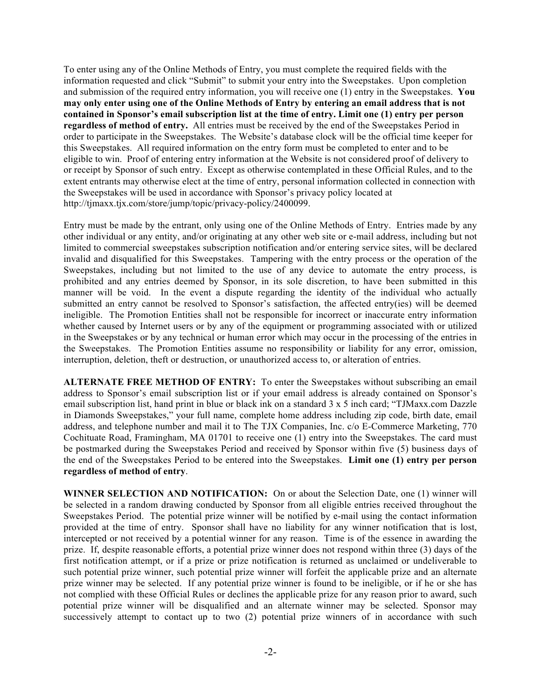To enter using any of the Online Methods of Entry, you must complete the required fields with the information requested and click "Submit" to submit your entry into the Sweepstakes. Upon completion and submission of the required entry information, you will receive one (1) entry in the Sweepstakes. **You may only enter using one of the Online Methods of Entry by entering an email address that is not contained in Sponsor's email subscription list at the time of entry. Limit one (1) entry per person regardless of method of entry.** All entries must be received by the end of the Sweepstakes Period in order to participate in the Sweepstakes. The Website's database clock will be the official time keeper for this Sweepstakes. All required information on the entry form must be completed to enter and to be eligible to win. Proof of entering entry information at the Website is not considered proof of delivery to or receipt by Sponsor of such entry. Except as otherwise contemplated in these Official Rules, and to the extent entrants may otherwise elect at the time of entry, personal information collected in connection with the Sweepstakes will be used in accordance with Sponsor's privacy policy located at http://tjmaxx.tjx.com/store/jump/topic/privacy-policy/2400099.

Entry must be made by the entrant, only using one of the Online Methods of Entry. Entries made by any other individual or any entity, and/or originating at any other web site or e-mail address, including but not limited to commercial sweepstakes subscription notification and/or entering service sites, will be declared invalid and disqualified for this Sweepstakes. Tampering with the entry process or the operation of the Sweepstakes, including but not limited to the use of any device to automate the entry process, is prohibited and any entries deemed by Sponsor, in its sole discretion, to have been submitted in this manner will be void. In the event a dispute regarding the identity of the individual who actually submitted an entry cannot be resolved to Sponsor's satisfaction, the affected entry(ies) will be deemed ineligible. The Promotion Entities shall not be responsible for incorrect or inaccurate entry information whether caused by Internet users or by any of the equipment or programming associated with or utilized in the Sweepstakes or by any technical or human error which may occur in the processing of the entries in the Sweepstakes. The Promotion Entities assume no responsibility or liability for any error, omission, interruption, deletion, theft or destruction, or unauthorized access to, or alteration of entries.

**ALTERNATE FREE METHOD OF ENTRY:** To enter the Sweepstakes without subscribing an email address to Sponsor's email subscription list or if your email address is already contained on Sponsor's email subscription list, hand print in blue or black ink on a standard 3 x 5 inch card; "TJMaxx.com Dazzle in Diamonds Sweepstakes," your full name, complete home address including zip code, birth date, email address, and telephone number and mail it to The TJX Companies, Inc. c/o E-Commerce Marketing, 770 Cochituate Road, Framingham, MA 01701 to receive one (1) entry into the Sweepstakes. The card must be postmarked during the Sweepstakes Period and received by Sponsor within five (5) business days of the end of the Sweepstakes Period to be entered into the Sweepstakes. **Limit one (1) entry per person regardless of method of entry**.

**WINNER SELECTION AND NOTIFICATION:** On or about the Selection Date, one (1) winner will be selected in a random drawing conducted by Sponsor from all eligible entries received throughout the Sweepstakes Period. The potential prize winner will be notified by e-mail using the contact information provided at the time of entry. Sponsor shall have no liability for any winner notification that is lost, intercepted or not received by a potential winner for any reason. Time is of the essence in awarding the prize. If, despite reasonable efforts, a potential prize winner does not respond within three (3) days of the first notification attempt, or if a prize or prize notification is returned as unclaimed or undeliverable to such potential prize winner, such potential prize winner will forfeit the applicable prize and an alternate prize winner may be selected. If any potential prize winner is found to be ineligible, or if he or she has not complied with these Official Rules or declines the applicable prize for any reason prior to award, such potential prize winner will be disqualified and an alternate winner may be selected. Sponsor may successively attempt to contact up to two (2) potential prize winners of in accordance with such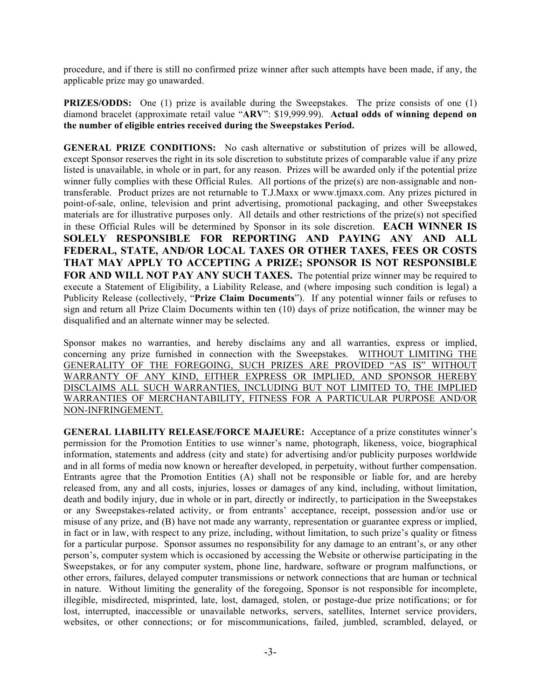procedure, and if there is still no confirmed prize winner after such attempts have been made, if any, the applicable prize may go unawarded.

**PRIZES/ODDS:** One (1) prize is available during the Sweepstakes. The prize consists of one (1) diamond bracelet (approximate retail value "**ARV**": \$19,999.99). **Actual odds of winning depend on the number of eligible entries received during the Sweepstakes Period.** 

**GENERAL PRIZE CONDITIONS:** No cash alternative or substitution of prizes will be allowed, except Sponsor reserves the right in its sole discretion to substitute prizes of comparable value if any prize listed is unavailable, in whole or in part, for any reason. Prizes will be awarded only if the potential prize winner fully complies with these Official Rules. All portions of the prize(s) are non-assignable and nontransferable. Product prizes are not returnable to T.J.Maxx or www.tjmaxx.com. Any prizes pictured in point-of-sale, online, television and print advertising, promotional packaging, and other Sweepstakes materials are for illustrative purposes only. All details and other restrictions of the prize(s) not specified in these Official Rules will be determined by Sponsor in its sole discretion. **EACH WINNER IS SOLELY RESPONSIBLE FOR REPORTING AND PAYING ANY AND ALL FEDERAL, STATE, AND/OR LOCAL TAXES OR OTHER TAXES, FEES OR COSTS THAT MAY APPLY TO ACCEPTING A PRIZE; SPONSOR IS NOT RESPONSIBLE FOR AND WILL NOT PAY ANY SUCH TAXES.** The potential prize winner may be required to execute a Statement of Eligibility, a Liability Release, and (where imposing such condition is legal) a Publicity Release (collectively, "**Prize Claim Documents**"). If any potential winner fails or refuses to sign and return all Prize Claim Documents within ten (10) days of prize notification, the winner may be disqualified and an alternate winner may be selected.

Sponsor makes no warranties, and hereby disclaims any and all warranties, express or implied, concerning any prize furnished in connection with the Sweepstakes. WITHOUT LIMITING THE GENERALITY OF THE FOREGOING, SUCH PRIZES ARE PROVIDED "AS IS" WITHOUT WARRANTY OF ANY KIND, EITHER EXPRESS OR IMPLIED, AND SPONSOR HEREBY DISCLAIMS ALL SUCH WARRANTIES, INCLUDING BUT NOT LIMITED TO, THE IMPLIED WARRANTIES OF MERCHANTABILITY, FITNESS FOR A PARTICULAR PURPOSE AND/OR NON-INFRINGEMENT.

**GENERAL LIABILITY RELEASE/FORCE MAJEURE:** Acceptance of a prize constitutes winner's permission for the Promotion Entities to use winner's name, photograph, likeness, voice, biographical information, statements and address (city and state) for advertising and/or publicity purposes worldwide and in all forms of media now known or hereafter developed, in perpetuity, without further compensation. Entrants agree that the Promotion Entities (A) shall not be responsible or liable for, and are hereby released from, any and all costs, injuries, losses or damages of any kind, including, without limitation, death and bodily injury, due in whole or in part, directly or indirectly, to participation in the Sweepstakes or any Sweepstakes-related activity, or from entrants' acceptance, receipt, possession and/or use or misuse of any prize, and (B) have not made any warranty, representation or guarantee express or implied, in fact or in law, with respect to any prize, including, without limitation, to such prize's quality or fitness for a particular purpose. Sponsor assumes no responsibility for any damage to an entrant's, or any other person's, computer system which is occasioned by accessing the Website or otherwise participating in the Sweepstakes, or for any computer system, phone line, hardware, software or program malfunctions, or other errors, failures, delayed computer transmissions or network connections that are human or technical in nature. Without limiting the generality of the foregoing, Sponsor is not responsible for incomplete, illegible, misdirected, misprinted, late, lost, damaged, stolen, or postage-due prize notifications; or for lost, interrupted, inaccessible or unavailable networks, servers, satellites, Internet service providers, websites, or other connections; or for miscommunications, failed, jumbled, scrambled, delayed, or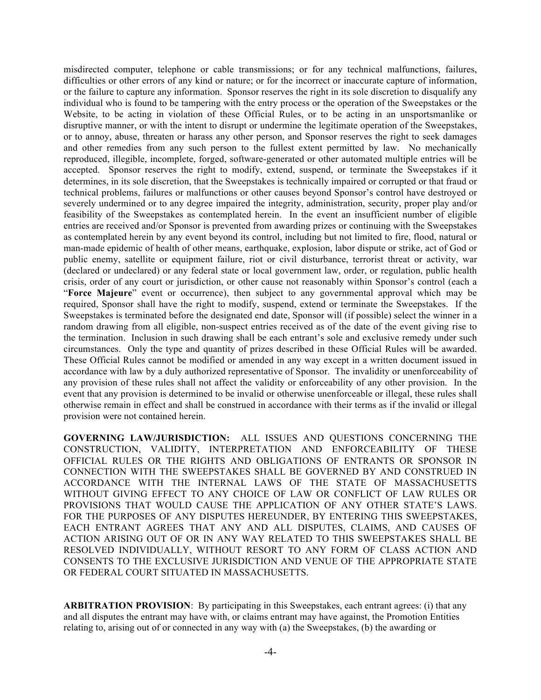misdirected computer, telephone or cable transmissions; or for any technical malfunctions, failures, difficulties or other errors of any kind or nature; or for the incorrect or inaccurate capture of information, or the failure to capture any information. Sponsor reserves the right in its sole discretion to disqualify any individual who is found to be tampering with the entry process or the operation of the Sweepstakes or the Website, to be acting in violation of these Official Rules, or to be acting in an unsportsmanlike or disruptive manner, or with the intent to disrupt or undermine the legitimate operation of the Sweepstakes, or to annoy, abuse, threaten or harass any other person, and Sponsor reserves the right to seek damages and other remedies from any such person to the fullest extent permitted by law. No mechanically reproduced, illegible, incomplete, forged, software-generated or other automated multiple entries will be accepted. Sponsor reserves the right to modify, extend, suspend, or terminate the Sweepstakes if it determines, in its sole discretion, that the Sweepstakes is technically impaired or corrupted or that fraud or technical problems, failures or malfunctions or other causes beyond Sponsor's control have destroyed or severely undermined or to any degree impaired the integrity, administration, security, proper play and/or feasibility of the Sweepstakes as contemplated herein. In the event an insufficient number of eligible entries are received and/or Sponsor is prevented from awarding prizes or continuing with the Sweepstakes as contemplated herein by any event beyond its control, including but not limited to fire, flood, natural or man-made epidemic of health of other means, earthquake, explosion, labor dispute or strike, act of God or public enemy, satellite or equipment failure, riot or civil disturbance, terrorist threat or activity, war (declared or undeclared) or any federal state or local government law, order, or regulation, public health crisis, order of any court or jurisdiction, or other cause not reasonably within Sponsor's control (each a "**Force Majeure**" event or occurrence), then subject to any governmental approval which may be required, Sponsor shall have the right to modify, suspend, extend or terminate the Sweepstakes. If the Sweepstakes is terminated before the designated end date, Sponsor will (if possible) select the winner in a random drawing from all eligible, non-suspect entries received as of the date of the event giving rise to the termination. Inclusion in such drawing shall be each entrant's sole and exclusive remedy under such circumstances. Only the type and quantity of prizes described in these Official Rules will be awarded. These Official Rules cannot be modified or amended in any way except in a written document issued in accordance with law by a duly authorized representative of Sponsor. The invalidity or unenforceability of any provision of these rules shall not affect the validity or enforceability of any other provision. In the event that any provision is determined to be invalid or otherwise unenforceable or illegal, these rules shall otherwise remain in effect and shall be construed in accordance with their terms as if the invalid or illegal provision were not contained herein.

**GOVERNING LAW/JURISDICTION:** ALL ISSUES AND QUESTIONS CONCERNING THE CONSTRUCTION, VALIDITY, INTERPRETATION AND ENFORCEABILITY OF THESE OFFICIAL RULES OR THE RIGHTS AND OBLIGATIONS OF ENTRANTS OR SPONSOR IN CONNECTION WITH THE SWEEPSTAKES SHALL BE GOVERNED BY AND CONSTRUED IN ACCORDANCE WITH THE INTERNAL LAWS OF THE STATE OF MASSACHUSETTS WITHOUT GIVING EFFECT TO ANY CHOICE OF LAW OR CONFLICT OF LAW RULES OR PROVISIONS THAT WOULD CAUSE THE APPLICATION OF ANY OTHER STATE'S LAWS. FOR THE PURPOSES OF ANY DISPUTES HEREUNDER, BY ENTERING THIS SWEEPSTAKES, EACH ENTRANT AGREES THAT ANY AND ALL DISPUTES, CLAIMS, AND CAUSES OF ACTION ARISING OUT OF OR IN ANY WAY RELATED TO THIS SWEEPSTAKES SHALL BE RESOLVED INDIVIDUALLY, WITHOUT RESORT TO ANY FORM OF CLASS ACTION AND CONSENTS TO THE EXCLUSIVE JURISDICTION AND VENUE OF THE APPROPRIATE STATE OR FEDERAL COURT SITUATED IN MASSACHUSETTS.

**ARBITRATION PROVISION**: By participating in this Sweepstakes, each entrant agrees: (i) that any and all disputes the entrant may have with, or claims entrant may have against, the Promotion Entities relating to, arising out of or connected in any way with (a) the Sweepstakes, (b) the awarding or